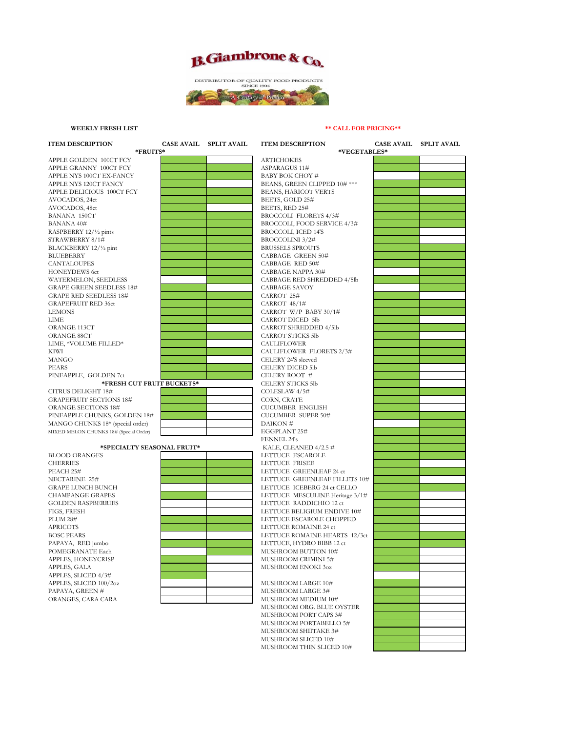



## **WEEKLY FRESH LIST**

## **\*\* CALL FOR PRICING\*\***

| <b>ITEM DESCRIPTION</b>                | <b>CASE AVAIL SPLIT AVAIL</b> | <b>ITEM DESCRIPTION</b>         | <b>CASE AVAIL</b> | <b>SPLIT AVAIL</b> |
|----------------------------------------|-------------------------------|---------------------------------|-------------------|--------------------|
| *FRUITS*                               |                               | *VEGETABLES*                    |                   |                    |
| APPLE GOLDEN 100CT FCY                 |                               | <b>ARTICHOKES</b>               |                   |                    |
| APPLE GRANNY 100CT FCY                 |                               | <b>ASPARAGUS 11#</b>            |                   |                    |
| APPLE NYS 100CT EX-FANCY               |                               | BABY BOK CHOY #                 |                   |                    |
| APPLE NYS 120CT FANCY                  |                               | BEANS, GREEN CLIPPED 10# ***    |                   |                    |
| APPLE DELICIOUS 100CT FCY              |                               | BEANS, HARICOT VERTS            |                   |                    |
| AVOCADOS, 24ct                         |                               | BEETS, GOLD 25#                 |                   |                    |
| AVOCADOS, 48ct                         |                               | BEETS, RED 25#                  |                   |                    |
| <b>BANANA 150CT</b>                    |                               | <b>BROCCOLI FLORETS 4/3#</b>    |                   |                    |
| <b>BANANA 40#</b>                      |                               | BROCCOLI, FOOD SERVICE 4/3#     |                   |                    |
| RASPBERRY 12/1/2 pints                 |                               | <b>BROCCOLI, ICED 14'S</b>      |                   |                    |
| STRAWBERRY 8/1#                        |                               | BROCCOLINI 3/2#                 |                   |                    |
| BLACKBERRY 12/1/2 pint                 |                               | <b>BRUSSELS SPROUTS</b>         |                   |                    |
| <b>BLUEBERRY</b>                       |                               | <b>CABBAGE GREEN 50#</b>        |                   |                    |
| <b>CANTALOUPES</b>                     |                               | CABBAGE RED 50#                 |                   |                    |
| <b>HONEYDEWS 6ct</b>                   |                               | CABBAGE NAPPA 30#               |                   |                    |
| WATERMELON, SEEDLESS                   |                               | CABBAGE RED SHREDDED 4/5lb      |                   |                    |
| <b>GRAPE GREEN SEEDLESS 18#</b>        |                               | <b>CABBAGE SAVOY</b>            |                   |                    |
| <b>GRAPE RED SEEDLESS 18#</b>          |                               | CARROT 25#                      |                   |                    |
| <b>GRAPEFRUIT RED 36ct</b>             |                               | CARROT 48/1#                    |                   |                    |
| <b>LEMONS</b>                          |                               | CARROT W/P BABY 30/1#           |                   |                    |
| <b>LIME</b>                            |                               | <b>CARROT DICED 5lb</b>         |                   |                    |
| ORANGE 113CT                           |                               | <b>CARROT SHREDDED 4/5lb</b>    |                   |                    |
| ORANGE 88CT                            |                               | <b>CARROT STICKS 5lb</b>        |                   |                    |
| LIME, *VOLUME FILLED*                  |                               | <b>CAULIFLOWER</b>              |                   |                    |
| KIWI                                   |                               | CAULIFLOWER FLORETS 2/3#        |                   |                    |
| <b>MANGO</b>                           |                               | CELERY 24'S sleeved             |                   |                    |
| <b>PEARS</b>                           |                               | <b>CELERY DICED 5lb</b>         |                   |                    |
| PINEAPPLE, GOLDEN 7ct                  |                               | CELERY ROOT #                   |                   |                    |
| *FRESH CUT FRUIT BUCKETS*              |                               | <b>CELERY STICKS 5lb</b>        |                   |                    |
| CITRUS DELIGHT 18#                     |                               | COLESLAW 4/5#                   |                   |                    |
| <b>GRAPEFRUIT SECTIONS 18#</b>         |                               | CORN, CRATE                     |                   |                    |
| <b>ORANGE SECTIONS 18#</b>             |                               | <b>CUCUMBER ENGLISH</b>         |                   |                    |
| PINEAPPLE CHUNKS, GOLDEN 18#           |                               | <b>CUCUMBER SUPER 50#</b>       |                   |                    |
| MANGO CHUNKS 18* (special order)       |                               | DAIKON#                         |                   |                    |
| MIXED MELON CHUNKS 18# (Special Order) |                               | EGGPLANT 25#                    |                   |                    |
|                                        |                               | FENNEL 24's                     |                   |                    |
| *SPECIALTY SEASONAL FRUIT*             |                               | KALE, CLEANED $4/2.5$ #         |                   |                    |
| <b>BLOOD ORANGES</b>                   |                               | LETTUCE ESCAROLE                |                   |                    |
| <b>CHERRIES</b>                        |                               | LETTUCE FRISEE                  |                   |                    |
| PEACH 25#                              |                               | LETTUCE GREENLEAF 24 ct         |                   |                    |
| NECTARINE 25#                          |                               | LETTUCE GREENLEAF FILLETS 10#   |                   |                    |
| <b>GRAPE LUNCH BUNCH</b>               |                               | LETTUCE ICEBERG 24 ct CELLO     |                   |                    |
| <b>CHAMPANGE GRAPES</b>                |                               | LETTUCE MESCULINE Heritage 3/1# |                   |                    |
| <b>GOLDEN RASPBERRIES</b>              |                               | LETTUCE RADDICHIO 12 ct         |                   |                    |
| FIGS, FRESH                            |                               | LETTUCE BELIGIUM ENDIVE 10#     |                   |                    |
| <b>PLUM 28#</b>                        |                               | LETTUCE ESCAROLE CHOPPED        |                   |                    |
| <b>APRICOTS</b>                        |                               | LETTUCE ROMAINE 24 ct           |                   |                    |
| <b>BOSC PEARS</b>                      |                               | LETTUCE ROMAINE HEARTS 12/3ct   |                   |                    |
| PAPAYA, RED jumbo                      |                               | LETTUCE, HYDRO BIBB 12 ct       |                   |                    |
| POMEGRANATE Each                       |                               | MUSHROOM BUTTON 10#             |                   |                    |
| APPLES, HONEYCRISP                     |                               | MUSHROOM CRIMINI 5#             |                   |                    |
| APPLES, GALA                           |                               | MUSHROOM ENOKI 30Z              |                   |                    |
| APPLES, SLICED 4/3#                    |                               |                                 |                   |                    |
| APPLES, SLICED 100/2oz                 |                               | MUSHROOM LARGE 10#              |                   |                    |
| PAPAYA, GREEN #                        |                               | MUSHROOM LARGE 3#               |                   |                    |
| ORANGES, CARA CARA                     |                               | MUSHROOM MEDIUM 10#             |                   |                    |
|                                        |                               | MUSHROOM ORG. BLUE OYSTER       |                   |                    |
|                                        |                               | MUSHROOM PORT CAPS 3#           |                   |                    |
|                                        |                               | MUSHROOM PORTABELLO 5#          |                   |                    |
|                                        |                               | MUSHROOM SHIITAKE 3#            |                   |                    |
|                                        |                               | MUSHROOM SLICED 10#             |                   |                    |
|                                        |                               | MUSHROOM THIN SLICED 10#        |                   |                    |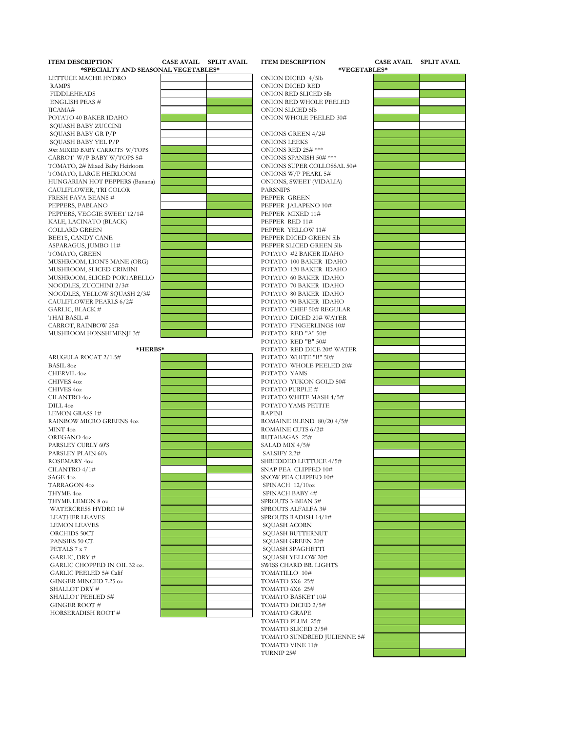| <b>ITEM DESCRIPTION</b>                   | <b>CASE AVAIL SPLIT AVAIL</b> | <b>ITEM DESCRIPTION</b>                  | <b>CASE AVAIL SPLIT AVAIL</b> |
|-------------------------------------------|-------------------------------|------------------------------------------|-------------------------------|
| *SPECIALTY AND SEASONAL VEGETABLES*       |                               | *VEGETABLES*                             |                               |
| LETTUCE MACHE HYDRO                       |                               | ONION DICED 4/5lb                        |                               |
| <b>RAMPS</b>                              |                               | ONION DICED RED                          |                               |
| <b>FIDDLEHEADS</b>                        |                               | ONION RED SLICED 5lb                     |                               |
| <b>ENGLISH PEAS #</b>                     |                               | ONION RED WHOLE PEELED                   |                               |
| JICAMA#                                   |                               | ONION SLICED 5lb                         |                               |
| POTATO 40 BAKER IDAHO                     |                               | ONION WHOLE PEELED 30#                   |                               |
| SQUASH BABY ZUCCINI                       |                               |                                          |                               |
| SQUASH BABY GR P/P<br>SQUASH BABY YEL P/P |                               | ONIONS GREEN 4/2#<br><b>ONIONS LEEKS</b> |                               |
| 50ct MIXED BABY CARROTS W/TOPS            |                               | ONIONS RED 25# ***                       |                               |
| CARROT W/P BABY W/TOPS 5#                 |                               | ONIONS SPANISH 50# ***                   |                               |
| TOMATO, 2# Mixed Baby Heirloom            |                               | ONIONS SUPER COLLOSSAL 50#               |                               |
| TOMATO, LARGE HEIRLOOM                    |                               | ONIONS W/P PEARL 5#                      |                               |
| HUNGARIAN HOT PEPPERS (Banana)            |                               | ONIONS, SWEET (VIDALIA)                  |                               |
| CAULIFLOWER, TRI COLOR                    |                               | <b>PARSNIPS</b>                          |                               |
| <b>FRESH FAVA BEANS #</b>                 |                               | PEPPER GREEN                             |                               |
| PEPPERS, PABLANO                          |                               | PEPPER JALAPENO 10#                      |                               |
| PEPPERS, VEGGIE SWEET 12/1#               |                               | PEPPER MIXED 11#                         |                               |
| KALE, LACINATO (BLACK)                    |                               | PEPPER RED 11#                           |                               |
| <b>COLLARD GREEN</b>                      |                               | PEPPER YELLOW 11#                        |                               |
| BEETS, CANDY CANE                         |                               | PEPPER DICED GREEN 5lb                   |                               |
| ASPARAGUS, JUMBO 11#                      |                               | PEPPER SLICED GREEN 5lb                  |                               |
| TOMATO, GREEN                             |                               | POTATO #2 BAKER IDAHO                    |                               |
| MUSHROOM, LION'S MANE (ORG)               |                               | POTATO 100 BAKER IDAHO                   |                               |
| MUSHROOM, SLICED CRIMINI                  |                               | POTATO 120 BAKER IDAHO                   |                               |
| MUSHROOM, SLICED PORTABELLO               |                               | POTATO 60 BAKER IDAHO                    |                               |
| NOODLES, ZUCCHINI 2/3#                    |                               | POTATO 70 BAKER IDAHO                    |                               |
| NOODLES, YELLOW SQUASH 2/3#               |                               | POTATO 80 BAKER IDAHO                    |                               |
| CAULIFLOWER PEARLS 6/2#                   |                               | POTATO 90 BAKER IDAHO                    |                               |
| GARLIC, BLACK #                           |                               | POTATO CHEF 50# REGULAR                  |                               |
| THAI BASIL #                              |                               | POTATO DICED 20# WATER                   |                               |
| CARROT, RAINBOW 25#                       |                               | POTATO FINGERLINGS 10#                   |                               |
| MUSHROOM HONSHIMENJI 3#                   |                               | POTATO RED "A" 50#<br>POTATO RED "B" 50# |                               |
| *HERBS*                                   |                               | POTATO RED DICE 20# WATER                |                               |
| ARUGULA ROCAT 2/1.5#                      |                               | POTATO WHITE "B" 50#                     |                               |
| <b>BASIL 802</b>                          |                               | POTATO WHOLE PEELED 20#                  |                               |
| CHERVIL 40Z                               |                               | POTATO YAMS                              |                               |
| <b>CHIVES 40Z</b>                         |                               | POTATO YUKON GOLD 50#                    |                               |
| <b>CHIVES 40Z</b>                         |                               | POTATO PURPLE #                          |                               |
| <b>CILANTRO 40Z</b>                       |                               | POTATO WHITE MASH 4/5#                   |                               |
| DILL <sub>402</sub>                       |                               | POTATO YAMS PETITE                       |                               |
| <b>LEMON GRASS 1#</b>                     |                               | <b>RAPINI</b>                            |                               |
| RAINBOW MICRO GREENS 402                  |                               | ROMAINE BLEND 80/20 4/5#                 |                               |
| MINT 40Z                                  |                               | ROMAINE CUTS 6/2#                        |                               |
| OREGANO 4oz                               |                               | RUTABAGAS 25#                            |                               |
| PARSLEY CURLY 60'S                        |                               | SALAD MIX 4/5#                           |                               |
| PARSLEY PLAIN 60's                        |                               | SALSIFY 2.2#                             |                               |
| ROSEMARY 40Z                              |                               | SHREDDED LETTUCE 4/5#                    |                               |
| CILANTRO 4/1#                             |                               | SNAP PEA CLIPPED 10#                     |                               |
| SAGE 4oz                                  |                               | SNOW PEA CLIPPED 10#                     |                               |
| <b>TARRAGON 402</b>                       |                               | SPINACH 12/10oz                          |                               |
| THYME 40Z                                 |                               | SPINACH BABY 4#                          |                               |
| THYME LEMON 8 oz                          |                               | SPROUTS 3-BEAN 3#                        |                               |
| WATERCRESS HYDRO 1#                       |                               | SPROUTS ALFALFA 3#                       |                               |
| <b>LEATHER LEAVES</b>                     |                               | SPROUTS RADISH 14/1#                     |                               |
| <b>LEMON LEAVES</b>                       |                               | <b>SOUASH ACORN</b>                      |                               |
| ORCHIDS 50CT                              |                               | SQUASH BUTTERNUT<br>SQUASH GREEN 20#     |                               |
| PANSIES 50 CT.<br>PETALS 7 x 7            |                               | SQUASH SPAGHETTI                         |                               |
| GARLIC, DRY #                             |                               | SOUASH YELLOW 20#                        |                               |
| GARLIC CHOPPED IN OIL 32 oz.              |                               | SWISS CHARD BR. LIGHTS                   |                               |
| <b>GARLIC PEELED 5# Calif</b>             |                               | TOMATILLO 10#                            |                               |
| GINGER MINCED 7.25 oz                     |                               | <b>TOMATO 5X6 25#</b>                    |                               |
| SHALLOT DRY #                             |                               | TOMATO 6X6 25#                           |                               |
| SHALLOT PEELED 5#                         |                               | TOMATO BASKET 10#                        |                               |
| GINGER ROOT #                             |                               | TOMATO DICED 2/5#                        |                               |
| HORSERADISH ROOT #                        |                               | TOMATO GRAPE                             |                               |
|                                           |                               | TOMATO PLUM 25#                          |                               |
|                                           |                               | TOMATO SLICED 2/5#                       |                               |
|                                           |                               | TOMATO SUNDRIED JULIENNE 5#              |                               |
|                                           |                               | TOMATO VINE 11#                          |                               |
|                                           |                               | TURNIP 25#                               |                               |